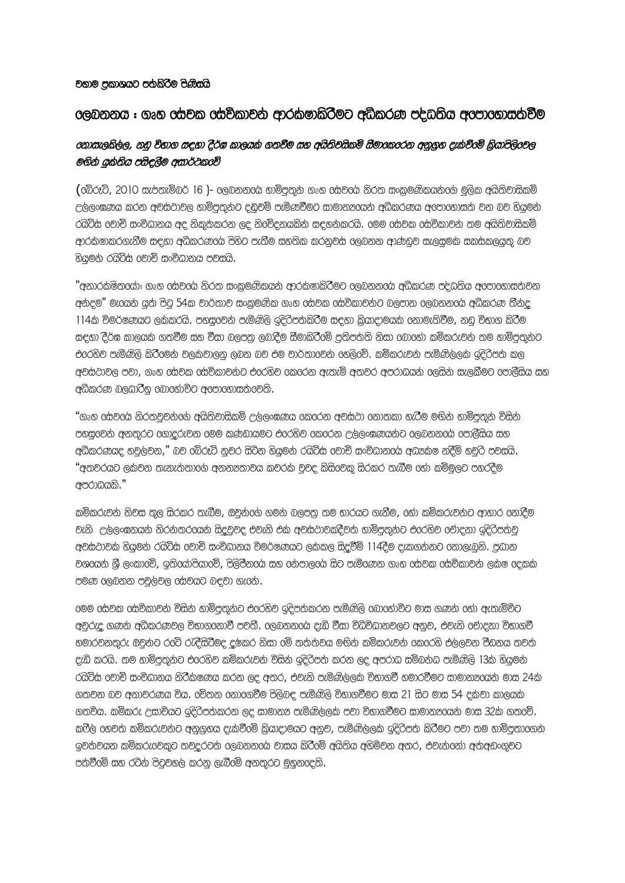## වහාම පකාශයට පතකිරීම පිණිසයි

## 

## රනාසැලකිල්ල, නඩ විභාග සදහා දීර්ඝ කාලයක් ගතවීම සහ අයිතිවසිකම් සීමාරකරරන අනුගහ දැක්වීරම් කියාපිලිරවල මගින් යුක්තිය පසිඳුලීම අසාර්ථකරව්

උල්ලංඝණය කරන අවස්ථාවල හාම්පුතුන්ට දඬුවම් පැමිණවීමට සාමානයයන් අධිකරණය අරපාරහාසත් වන බව හියමන් රයිට්ස රවාචි සංවිධානය අද නිකුත්කරන ලද නිරවිදනයකින් සඳහන්කරයි. රමම රස්වක රස්විකාවන් තම අයිතිවාසිකම් ආරක්ෂාකරගැනීම සඳහා අධිකරණයේ පිහිට පැතීම සහතික කරනුවස ලෙබනන ආණ්ඩුව සැලසුමක සකස්කලයුතු බව හියමන් රයිට්ස් වොච් සංවිධානය පවසයි.

"අනාරකමිතයෝ: ගෘහ සේවයේ නිරත සංකමණිකයන් ආරක්ෂාකිරීමට ලෙබනනයේ අධිකරණ පද්ධතිය අපොහොසත්වන අන්දම" මැයෙන් යුත් පිටු 54ක වාර්තාව සංකුමණික ගෘහ රස්වක රස්විකාවන්ට බලපාන ලෙබනනරය් අධිකරණ තීන්ද 114ක විමර්ෂණයට ලකකරයි. පහසුවෙන පැමිණිලි ඉදිරිපත්කිරීම සඳහා කියාදාමයක් නොමැතිවීම, නඩු විභාග කිරීම සඳහා දීර්ඝ කාලයක් ගතවීම සහ වීසා බලපතු ලබාදීම සීමාකිරීමේ පුතිපත්ති නිසා මොහෝ කම්කරුවන් තම හාම්පුතුන්ට එරෙහිව පැමිණිලි කිරීමෙන් වලක්වාලන ලබන බව එම වාර්තාවෙන් රහලිවේ. කම්කරුවන් පැමිණිල්ලක් ඉදිරිපත් කල අවස්ථාවල පවා, ගෘහ රස්වක රස්විකාවන්ට එරරහිව රකරරන ඇතැම් අතවර අපරාධයන් රලසින් සැලකීමට රපාලීසිය සහ අධිකරණ බලධාරීභ බොහෝවිට අපොහොසත් වෙති.

"ගෘහ රසවයේ නිරතවූවන්ගේ අයිතිවාසිකම් උල්ලංඝණය රකරෙන අවස්ථා රනාතකා හැරීම මගින් හාම්පුතුන් විසින් පහසුවෙන් අනතුරට ගොදරුවන මෙම කණ්ඩායමට එරෙහිව කෙරෙන උල්ලංඝණයන්ට ලෙබනනරේ පොලීසිය සහ අධිකරණයද හවුල්වන," බව රබ්රූට් නුවර සිටින හියුමන් රයිට්ස් රවාච් සංවිධානරය් අධූක්ෂ නදීම් හවුරි පවසයි. "අතවරයට ලකවන තැනැත්තාගේ අනනzතාවය කවරක වුවද කිසිවෙකු සිරකර තැබීම හෝ කම්මුලට පහරදීම අපරාධයකි."

කම්කරුවන් නිවස තුල සිරකර තැබීම, ඔවුන්රග් ගමන් බලපතු තම භාරයට ගැනීම, රහා කම්කරුවන්ට ආහාර නොදීම වැනි උල්ලංඝනයන් නිරන්තරගයන් සිදවුවද එවැනි එක අවස්ථාවකදීවත හාමිපතුනට එරෙහිව රචාදනා ඉදිරිපතවු අවස්ථාවක හියමන් රයිට්ස් වොච් සංවිධානය විමර්ෂණයට ලක්කල සිදුවීම් 114දීම දැකගන්නට නොලැබනි. පුධාන වශයෙන් ශූී ලංකාරව්, ඉතියෝපියාරව්, පිලිපීනරය සහ රන්පාලරය සිට පැමිණෙන ගෘහ රස්වක රස්විකාවන් ලක්ෂ රදකක පමණ ලෙබනන පවල්වල රස්වයට බඳවා ගැනේ.

ලමම රස්වක රස්විකාවන් විසින් හාම්පතුන්ට එරෙහිව ඉදිපත්කරන පැමිණිලි රබාහෝවිට මාස ගණන් රහා ඇතැම්විට අවුරුදු ගණන අධිකරණවල විභාගරනාවී පවතී. රලබනනරය දැඩි වීසා විධිවිධානවලට අනුව, එවැනි රචාදනා විභාගවී හමාරවනතුරු ඔවුනට රටටි රැඳීසිටීමද දුෂ්කර නිසා රමි තතතතිග මඟින් කම්කරුවන් රකරරහි එල්ලවන පීඩනය තවත් දැඩි කරයි. තම හාම්පතුන්ට එරෙහිව කම්කරුවන් විසින් ඉදිරිපත් කරන ලද අපරාධ සම්බන්ධ පැමිණිලි 13ක් හියමන් රයිට්ස් වොචි සංවිධානය නිරීක්ෂණය කරන ලද අතර, එවැනි පැමිණිල්ලක් විභාගවී හමාරවීමට සාමානපයෙන් මාස 24ක් ගතවන බව අනාවරණය විය. රවිතන හොරගවීම පිලිබඳ පැමිණිලි විභාගවීමට මාස 21 සිට මාස 54 දක්වා කාලයක ගතවිය. කම්කරු උසාවියට ඉදිරිපත්කරන ලද සාමානන පැමිණිලිලක පවා විභාගවීමට සාමානනයෙන් මාස 32ක් ගතරව්. ඉවත්වයන කම්කරුවෙකුට තවදුරටත් ලෙබනනග් වාසය කිරීමේ අයිතිය අහිමිවන අතර, එවැන්නෝ අත්අඩංගුවට පත්වීමේ සහ රටින් පිටුවහල කරනු ලැබීමේ අනතුරට මහනලදති.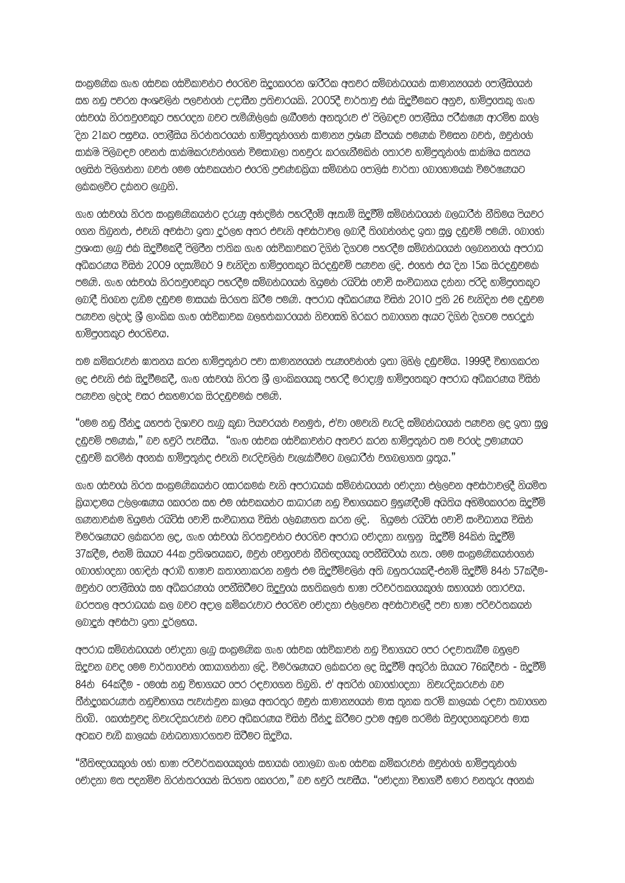සංකුමණික ගෘහ රස්වක රස්විකාවන්ට එරෙහිව සිදුරකරරන ශාරී්රික අතවර සම්බන්ධරයන් සාමානzරයන් රපාලීසිරයන් සහ නඩ පවරන අංශවලින් පලවන්නේ උදාසීන පතිචාරයකි. 2005දී වාර්තාව එක සිදුවීමකට අනව, හාම්පරතකු ගෘහ රසවරය නිරතවුරවකුට පහරරදන බවට පැමිණිලලක ලැබීරමන අනතුරුව එ' පිලිබඳව රපාලීසිය පරීකෂණ ආරම්භ කරල ිදන 21කට පසුවය. පොලීසිය නිරන්තරගයන් හාමිපුතුන්ගෙන් සාමානය පුශ්ණ කීපයක් පමණක් විමසන බවත්, ඔවුන්ගේ සාක්ෂි පිලිබඳව රචනත් සාක්ෂිකරුවන්රගන් විමසාබලා තහවුරු කරගැනීමකින් රතාරව හාම්පතුන්රග් සාක්ෂිය සතූය ලෙසින් පිලිගන්නා බවත් මෙම සේවකයන්ට එරෙහි පවණ්ඩකියා සම්බන්ධ පොලිස් වාර්තා බොහොමයක් විමර්ෂණයට ලකකලවිට දකනට ලැබුනි.

ගෘහ රස්වරය නිරත සංකමණිකයන්ට දරුණ අන්දමින් පහරදීමේ ඈතැම් සිදුවීම් සම්බන්ධයෙන් බලධාරීන් නීතිමය පියවර 00න තිබනත්, එවැනි අවස්ථා ඉතා දර්ලභ අතර එවැනි අවස්ථාවල ලබාදී තිබෙන්නේද ඉතා සල දඬුවම් පමණි. බොහෝ පුශංසා ලැබූ එක සිදුවීමකදී පිලිපීන ජාතික ගෘහ 6ස්විකාවකට දිගින් දිගටම පහරදීම සම්බන්ධගෙන් ලෙබනනරේ අපරාධ අධිකරණය විසින් 2009 දෙසැම්බර් 9 වැනිදින හාම්පුරතකුට සිරදඩුවම් පණවන ලදි. එහෙත් එය දින 15ක සිරදඩුවමක් පමණි. ගෘහ සේවරය නිරතවුවෙකුට පහරදීම සම්බන්ධයෙන් හියමන් රයිට්ස් වොච් සංවිධානය දන්නා පරිදි හාම්පුතෙකුට ලබාදී තිබෙන දැඩිම දඩුවම මාසයක් සිරගත කිරීම පමණි. අපරාධ අධිකරණය විසින් 2010 ජුනි 26 වැනිදින එම දඩුවම පණවන ලද්දේ ශී ලාංකික ගෘහ දුස්විකාවක බලහතිකාරයෙන් නිවදසහි හිරකර තබාගෙන ඇයට දිගින් දිගටම පහරදුන් හාම්පුරතකුට එරරහිවය.

තම කම්කරුවන ඝාතනය කරන හාම්පතුනට පවා සාමානූපයන් පැණුවෙන්නේ ඉතා ලිහිල දඬවම්ය. 1999දී විභාගකරන ලද එවැනි එක සිදුවීමකදී, ගෘහ රසවරය නිරත ශී ලාංකිකරයකු පහරදී මරාදැම හාමිපරතකුට අපරාධ අධිකරණය විසින් පණවන ලදයද වසර එකහමාරක සිරදඬුවමක පමණි.

"මෙම නඩ තීන්ද යහපත දිශාවට තැබූ කුඩා පියවරයන් වනමුත, එ'්වා මෙවැනි වැරදි සම්බන්ධගයන් පණවන ලද ඉතා සල දඬුවම් පමණක," බව හවුරි පැවසීය. "ගෘහ 6ස්වක 6ස්විකාවනට අතවර කරන හාම්පුතුනට තම වර6ද පුමාණයට දඹුවම් කරමින අගනක හාමිපතුනද එවැනි වැරදිවලින වැලැක්වීමට බලධාරීන වගබලාගත යුතුය."

ගෘහ රස්වරය නිරත සංකුමණිකයන්ට රසාරකමක් වැනි අපරාධයක් සම්බන්ධරයන් රචාදනා එල්ලවන අවස්ථාවලදී නියමිත කියාදාමය උල්ලංඝණය රකරරන සහ එම රස්වකයන්ට සාධාරණ නඩ විභාගයකට මහුණදීරම් අයිතිය අහිමිරකරරන සිදුවීම් ගණනාවකම හියුමන රයිට්ස රවාචි සංවිධානය විසින් රල්බණගත කරන ලදි. හියුමන් රයිට්ස් රවාචි සංවිධානය විසින් විමර්ශණයට ලක්කරන ලද, ගෘහ රසවරය නිරතවුවන්ට එරරහිව අපරාධ චෝදනා නැගුනු සිදුවීම් 84කින් සිදුවීම් 37කදීම, එනම් සියයට 44ක පතිශතයකට, ඔවුන් රචනුරවන් නීතිඥරයකු රපනීසිටිරය නැත. රමම සංකමණිකයන්රගන් cබාගෝරදනා ගොදින අරාබි භාෂාව කතාගනාකරන නමුත එම සිදුවීම්වලින අති බහුතරයකදී-එනම් සිදුවීම් 84න 57කදීම-ඔවුන්ට පොලීසියේ සහ අධිකරණයේ පෙනීසිටීමට සිදුවුයේ සහතිකලත් භාෂා පරිවර්තකයෙකුගේ සහායෙන් තොරවය. බරපතල අපරාධයක කල බවට අදාල කම්කරුවාට එරෙහිව චෝදනා එලලවන අවස්ථාවලදී පවා භාෂා පරිවර්තකයන් ලබාදුන් අවස්ථා ඉතා දුර්ලභය.

අපරාධ සම්බන්ධයෙන් 6වාදනා ලැබ සංකමණික ගෘහ 6සවක 6ස්විකාවන් නඩ විභාගයට 6පර රඳවාතැබීම බහුලව සිදවන බවද ගමම වාර්තාවෙන් සොයාගන්නා ලදි. විමර්ශණයට ලක්කරන ලද සිදුවීම් අතුරින් සියයට 76කදීවත් - සිදුවීම් 84න් 64කදීම - මෙසේ නඩු විභාගයට පෙර රඳවාගෙන තිබනි. එ' අතරින් බොහෝදෙනා නිවැරදිකරුවන් බව තීන්දයකරුණත නඩුවිභාගය පැවැත්වන කාලය අතරතුර ඔවුන් සාමානූපයන් මාස තුනක තරම් කාලයක් රඳවා තබාගෙන තිබේ. කෙසේවවද නිවැරදිකරුවන් බවට අධිකරණය විසින් තීන්ද කිරීමට පුවම අඩම තරමින් සිවුදෙනෙකුටවත් මාස අටකට වැඩි කාලයක් බන්ධනාගාරගතව සිටීමට සිදුවිය.

"නීතිඥරයකුරග රහා භාෂා පරිවර්තකරයකුරග සහායක රනාලබා ගෘහ රසවක කම්කරුවන් ඔවුන්රග හාම්පතුන්රග 6වාදනා මත පදනම්ව නිරන්තරගෙන් සිරගත 6කරෙන," බව හවුරි පැවසීය. "6වාදනා විභාගවී හමාර වනතුරු අගනක